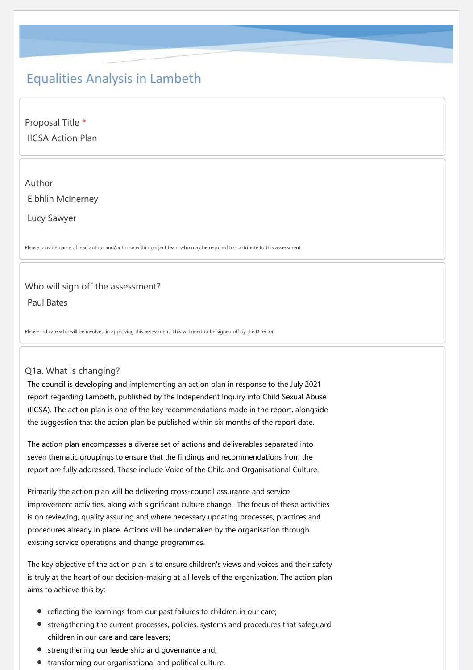# **Equalities Analysis in Lambeth**

Proposal Title \* IICSA Action Plan

# Author Eibhlin McInerney

Lucy Sawyer

Please provide name of lead author and/or those within project team who may be required to contribute to this assessment

#### Who will sign off the assessment?

Paul Bates

Please indicate who will be involved in approving this assessment. This will need to be signed off by the Director

#### Q1a. What is changing?

The council is developing and implementing an action plan in response to the July 2021 report regarding Lambeth, published by the Independent Inquiry into Child Sexual Abuse (IICSA). The action plan is one of the key recommendations made in the report, alongside the suggestion that the action plan be published within six months of the report date.

The action plan encompasses a diverse set of actions and deliverables separated into seven thematic groupings to ensure that the findings and recommendations from the report are fully addressed. These include Voice of the Child and Organisational Culture.

Primarily the action plan will be delivering cross‐council assurance and service improvement activities, along with significant culture change. The focus of these activities is on reviewing, quality assuring and where necessary updating processes, practices and procedures already in place. Actions will be undertaken by the organisation through existing service operations and change programmes.

The key objective of the action plan is to ensure children's views and voices and their safety is truly at the heart of our decision-making at all levels of the organisation. The action plan aims to achieve this by:

- reflecting the learnings from our past failures to children in our care;
- strengthening the current processes, policies, systems and procedures that safeguard children in our care and care leavers;
- strengthening our leadership and governance and,
- transforming our organisational and political culture.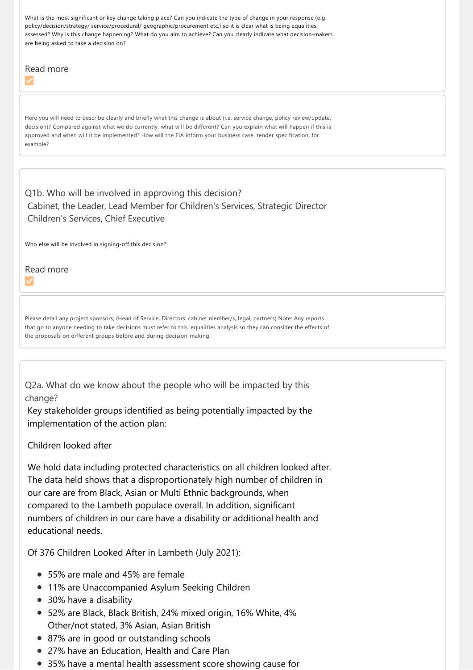What is the most significant or key change taking place? Can you indicate the type of change in your response (e.g. policy/decision/strategy/ service/procedural/ geographic/procurement etc.) so it is clear what is being equalities assessed? Why is this change happening? What do you aim to achieve? Can you clearly indicate what decision-makers are being asked to take a decision on?

# Read more

Here you will need to describe clearly and briefly what this change is about (i.e. service change, policy review/update, decision)? Compared against what we do currently, what will be different? Can you explain what will happen if this is approved and when will it be implemented? How will the EIA inform your business case, tender specification, for example?

## Q1b. Who will be involved in approving this decision? Cabinet, the Leader, Lead Member for Children's Services, Strategic Director Children's Services, Chief Executive

Who else will be involved in signing-off this decision?

Read more

Please detail any project sponsors, (Head of Service, Directors cabinet member/s, legal, partners) Note: Any reports that go to anyone needing to take decisions must refer to this equalities analysis so they can consider the effects of the proposals on different groups before and during decision‐making.

Q2a. What do we know about the people who will be impacted by this change?

Key stakeholder groups identified as being potentially impacted by the implementation of the action plan:

#### Children looked after

We hold data including protected characteristics on all children looked after. The data held shows that a disproportionately high number of children in our care are from Black, Asian or Multi Ethnic backgrounds, when compared to the Lambeth populace overall. In addition, significant numbers of children in our care have a disability or additional health and educational needs.

Of 376 Children Looked After in Lambeth (July 2021):

- 55% are male and 45% are female
- 11% are Unaccompanied Asylum Seeking Children
- 30% have a disability
- 52% are Black, Black British, 24% mixed origin, 16% White, 4% Other/not stated, 3% Asian, Asian British
- 87% are in good or outstanding schools
- 27% have an Education, Health and Care Plan
- 35% have a mental health assessment score showing cause for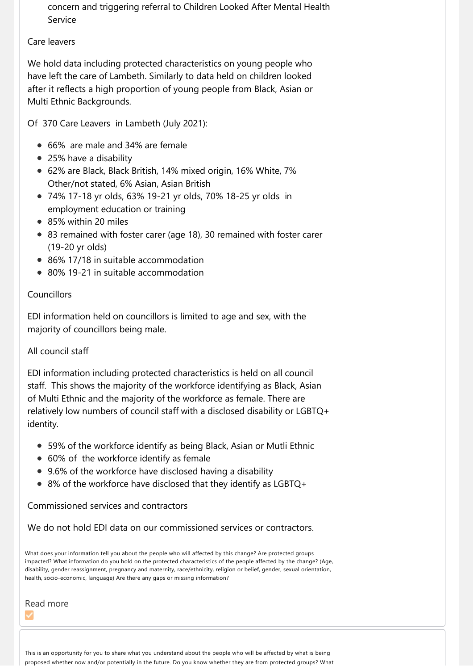concern and triggering referral to Children Looked After Mental Health Service

#### Care leavers

We hold data including protected characteristics on young people who have left the care of Lambeth. Similarly to data held on children looked after it reflects a high proportion of young people from Black, Asian or Multi Ethnic Backgrounds.

Of 370 Care Leavers in Lambeth (July 2021):

- 66% are male and 34% are female
- 25% have a disability
- 62% are Black, Black British, 14% mixed origin, 16% White, 7% Other/not stated, 6% Asian, Asian British
- 74% 17‐18 yr olds, 63% 19‐21 yr olds, 70% 18‐25 yr olds in employment education or training
- 85% within 20 miles
- 83 remained with foster carer (age 18), 30 remained with foster carer (19-20 yr olds)
- 86% 17/18 in suitable accommodation
- 80% 19-21 in suitable accommodation

## Councillors

EDI information held on councillors is limited to age and sex, with the majority of councillors being male.

## All council staff

EDI information including protected characteristics is held on all council staff. This shows the majority of the workforce identifying as Black, Asian of Multi Ethnic and the majority of the workforce as female. There are relatively low numbers of council staff with a disclosed disability or LGBTQ+ identity.

- 59% of the workforce identify as being Black, Asian or Mutli Ethnic
- 60% of the workforce identify as female
- 9.6% of the workforce have disclosed having a disability
- 8% of the workforce have disclosed that they identify as LGBTQ+

Commissioned services and contractors

We do not hold EDI data on our commissioned services or contractors.

What does your information tell you about the people who will affected by this change? Are protected groups impacted? What information do you hold on the protected characteristics of the people affected by the change? (Age, disability, gender reassignment, pregnancy and maternity, race/ethnicity, religion or belief, gender, sexual orientation, health, socio-economic, language) Are there any gaps or missing information?

Read more

This is an opportunity for you to share what you understand about the people who will be affected by what is being proposed whether now and/or potentially in the future. Do you know whether they are from protected groups? What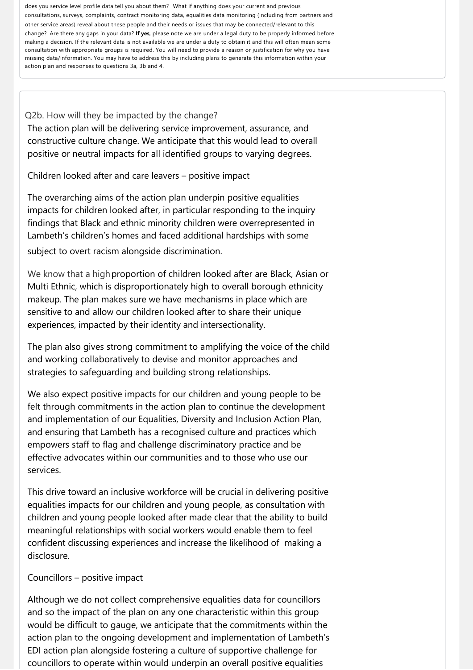does you service level profile data tell you about them? What if anything does your current and previous consultations, surveys, complaints, contract monitoring data, equalities data monitoring (including from partners and other service areas) reveal about these people and their needs or issues that may be connected/relevant to this change? Are there any gaps in your data? **If yes**, please note we are under a legal duty to be properly informed before making a decision. If the relevant data is not available we are under a duty to obtain it and this will often mean some consultation with appropriate groups is required. You will need to provide a reason or justification for why you have missing data/information. You may have to address this by including plans to generate this information within your action plan and responses to questions 3a, 3b and 4.

Q2b. How will they be impacted by the change? The action plan will be delivering service improvement, assurance, and constructive culture change. We anticipate that this would lead to overall positive or neutral impacts for all identified groups to varying degrees.

Children looked after and care leavers – positive impact

The overarching aims of the action plan underpin positive equalities impacts for children looked after, in particular responding to the inquiry findings that Black and ethnic minority children were overrepresented in Lambeth's children's homes and faced additional hardships with some

subject to overt racism alongside discrimination.

We know that a high proportion of children looked after are Black, Asian or Multi Ethnic, which is disproportionately high to overall borough ethnicity makeup. The plan makes sure we have mechanisms in place which are sensitive to and allow our children looked after to share their unique experiences, impacted by their identity and intersectionality.

The plan also gives strong commitment to amplifying the voice of the child and working collaboratively to devise and monitor approaches and strategies to safeguarding and building strong relationships.

We also expect positive impacts for our children and young people to be felt through commitments in the action plan to continue the development and implementation of our Equalities, Diversity and Inclusion Action Plan, and ensuring that Lambeth has a recognised culture and practices which empowers staff to flag and challenge discriminatory practice and be effective advocates within our communities and to those who use our services.

This drive toward an inclusive workforce will be crucial in delivering positive equalities impacts for our children and young people, as consultation with children and young people looked after made clear that the ability to build meaningful relationships with social workers would enable them to feel confident discussing experiences and increase the likelihood of making a disclosure.

#### Councillors – positive impact

Although we do not collect comprehensive equalities data for councillors and so the impact of the plan on any one characteristic within this group would be difficult to gauge, we anticipate that the commitments within the action plan to the ongoing development and implementation of Lambeth's EDI action plan alongside fostering a culture of supportive challenge for councillors to operate within would underpin an overall positive equalities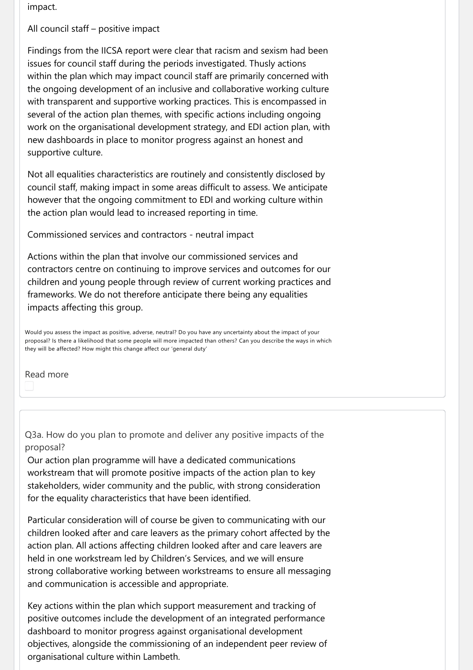impact.

All council staff – positive impact

Findings from the IICSA report were clear that racism and sexism had been issues for council staff during the periods investigated. Thusly actions within the plan which may impact council staff are primarily concerned with the ongoing development of an inclusive and collaborative working culture with transparent and supportive working practices. This is encompassed in several of the action plan themes, with specific actions including ongoing work on the organisational development strategy, and EDI action plan, with new dashboards in place to monitor progress against an honest and supportive culture.

Not all equalities characteristics are routinely and consistently disclosed by council staff, making impact in some areas difficult to assess. We anticipate however that the ongoing commitment to EDI and working culture within the action plan would lead to increased reporting in time.

Commissioned services and contractors ‐ neutral impact

Actions within the plan that involve our commissioned services and contractors centre on continuing to improve services and outcomes for our children and young people through review of current working practices and frameworks. We do not therefore anticipate there being any equalities impacts affecting this group.

Would you assess the impact as positive, adverse, neutral? Do you have any uncertainty about the impact of your proposal? Is there a likelihood that some people will more impacted than others? Can you describe the ways in which they will be affected? How might this change affect our 'general duty'

Read more

Q3a. How do you plan to promote and deliver any positive impacts of the proposal?

Our action plan programme will have a dedicated communications workstream that will promote positive impacts of the action plan to key stakeholders, wider community and the public, with strong consideration for the equality characteristics that have been identified.

Particular consideration will of course be given to communicating with our children looked after and care leavers as the primary cohort affected by the action plan. All actions affecting children looked after and care leavers are held in one workstream led by Children's Services, and we will ensure strong collaborative working between workstreams to ensure all messaging and communication is accessible and appropriate.

Key actions within the plan which support measurement and tracking of positive outcomes include the development of an integrated performance dashboard to monitor progress against organisational development objectives, alongside the commissioning of an independent peer review of organisational culture within Lambeth.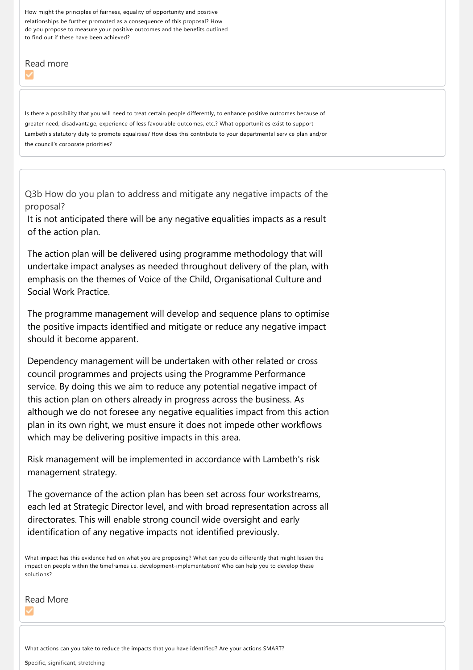How might the principles of fairness, equality of opportunity and positive relationships be further promoted as a consequence of this proposal? How do you propose to measure your positive outcomes and the benefits outlined to find out if these have been achieved?

# Read more

Is there a possibility that you will need to treat certain people differently, to enhance positive outcomes because of greater need; disadvantage; experience of less favourable outcomes, etc.? What opportunities exist to support Lambeth's statutory duty to promote equalities? How does this contribute to your departmental service plan and/or the council's corporate priorities?

Q3b How do you plan to address and mitigate any negative impacts of the proposal?

It is not anticipated there will be any negative equalities impacts as a result of the action plan.

The action plan will be delivered using programme methodology that will undertake impact analyses as needed throughout delivery of the plan, with emphasis on the themes of Voice of the Child, Organisational Culture and Social Work Practice.

The programme management will develop and sequence plans to optimise the positive impacts identified and mitigate or reduce any negative impact should it become apparent.

Dependency management will be undertaken with other related or cross council programmes and projects using the Programme Performance service. By doing this we aim to reduce any potential negative impact of this action plan on others already in progress across the business. As although we do not foresee any negative equalities impact from this action plan in its own right, we must ensure it does not impede other workflows which may be delivering positive impacts in this area.

Risk management will be implemented in accordance with Lambeth's risk management strategy.

The governance of the action plan has been set across four workstreams, each led at Strategic Director level, and with broad representation across all directorates. This will enable strong council wide oversight and early identification of any negative impacts not identified previously.

What impact has this evidence had on what you are proposing? What can you do differently that might lessen the impact on people within the timeframes i.e. development-implementation? Who can help you to develop these solutions?

Read More

What actions can you take to reduce the impacts that you have identified? Are your actions SMART?

**S**pecific, significant, stretching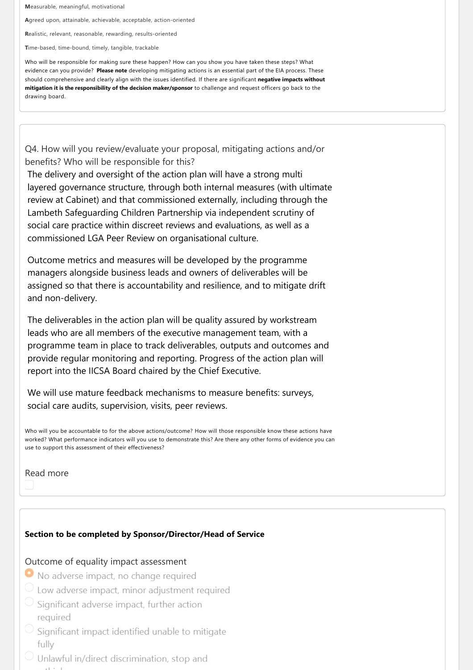**M**easurable, meaningful, motivational

**A**greed upon, attainable, achievable, acceptable, action‐oriented

**R**ealistic, relevant, reasonable, rewarding, results‐oriented

**T**ime‐based, time‐bound, timely, tangible, trackable

Who will be responsible for making sure these happen? How can you show you have taken these steps? What evidence can you provide? **Please note** developing mitigating actions is an essential part of the EIA process. These should comprehensive and clearly align with the issues identified. If there are significant **negative impacts without mitigation it is the responsibility of the decision maker/sponsor** to challenge and request officers go back to the drawing board.

Q4. How will you review/evaluate your proposal, mitigating actions and/or benefits? Who will be responsible for this?

The delivery and oversight of the action plan will have a strong multi layered governance structure, through both internal measures (with ultimate review at Cabinet) and that commissioned externally, including through the Lambeth Safeguarding Children Partnership via independent scrutiny of social care practice within discreet reviews and evaluations, as well as a commissioned LGA Peer Review on organisational culture.

Outcome metrics and measures will be developed by the programme managers alongside business leads and owners of deliverables will be assigned so that there is accountability and resilience, and to mitigate drift and non‐delivery.

The deliverables in the action plan will be quality assured by workstream leads who are all members of the executive management team, with a programme team in place to track deliverables, outputs and outcomes and provide regular monitoring and reporting. Progress of the action plan will report into the IICSA Board chaired by the Chief Executive.

We will use mature feedback mechanisms to measure benefits: surveys, social care audits, supervision, visits, peer reviews.

Who will you be accountable to for the above actions/outcome? How will those responsible know these actions have worked? What performance indicators will you use to demonstrate this? Are there any other forms of evidence you can use to support this assessment of their effectiveness?

Read more

#### **Section to be completed by Sponsor/Director/Head of Service**

#### Outcome of equality impact assessment

- No adverse impact, no change required
- $\circlearrowright$  Low adverse impact, minor adjustment required
- Significant adverse impact, further action required
- Significant impact identified unable to mitigate fully
- Unlawful in/direct discrimination, stop and